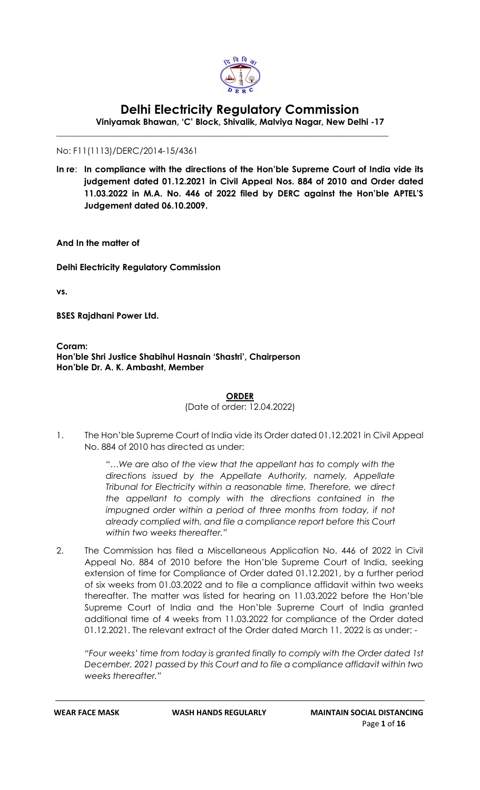

# **Delhi Electricity Regulatory Commission**

**Viniyamak Bhawan, 'C' Block, Shivalik, Malviya Nagar, New Delhi -17**

\_\_\_\_\_\_\_\_\_\_\_\_\_\_\_\_\_\_\_\_\_\_\_\_\_\_\_\_\_\_\_\_\_\_\_\_\_\_\_\_\_\_\_\_\_\_\_\_\_\_\_\_\_\_\_\_\_\_\_\_\_\_\_\_\_\_\_\_\_\_\_\_\_\_\_\_\_

No: F11(1113)/DERC/2014-15/4361

**In re**: **In compliance with the directions of the Hon'ble Supreme Court of India vide its judgement dated 01.12.2021 in Civil Appeal Nos. 884 of 2010 and Order dated 11.03.2022 in M.A. No. 446 of 2022 filed by DERC against the Hon'ble APTEL'S Judgement dated 06.10.2009.**

**And In the matter of** 

**Delhi Electricity Regulatory Commission**

**vs.** 

**BSES Rajdhani Power Ltd.** 

**Coram: Hon'ble Shri Justice Shabihul Hasnain 'Shastri', Chairperson Hon'ble Dr. A. K. Ambasht, Member**

(Date of order: 12.04.2022)

1. The Hon'ble Supreme Court of India vide its Order dated 01.12.2021 in Civil Appeal No. 884 of 2010 has directed as under:

> *"…We are also of the view that the appellant has to comply with the directions issued by the Appellate Authority, namely, Appellate Tribunal for Electricity within a reasonable time. Therefore, we direct the appellant to comply with the directions contained in the*  impugned order within a period of three months from today, if not *already complied with, and file a compliance report before this Court within two weeks thereafter."*

2. The Commission has filed a Miscellaneous Application No. 446 of 2022 in Civil Appeal No. 884 of 2010 before the Hon'ble Supreme Court of India, seeking extension of time for Compliance of Order dated 01.12.2021, by a further period of six weeks from 01.03.2022 and to file a compliance affidavit within two weeks thereafter. The matter was listed for hearing on 11.03.2022 before the Hon'ble Supreme Court of India and the Hon'ble Supreme Court of India granted additional time of 4 weeks from 11.03.2022 for compliance of the Order dated 01.12.2021. The relevant extract of the Order dated March 11, 2022 is as under: -

*"Four weeks' time from today is granted finally to comply with the Order dated 1st December, 2021 passed by this Court and to file a compliance affidavit within two weeks thereafter."*

**ORDER**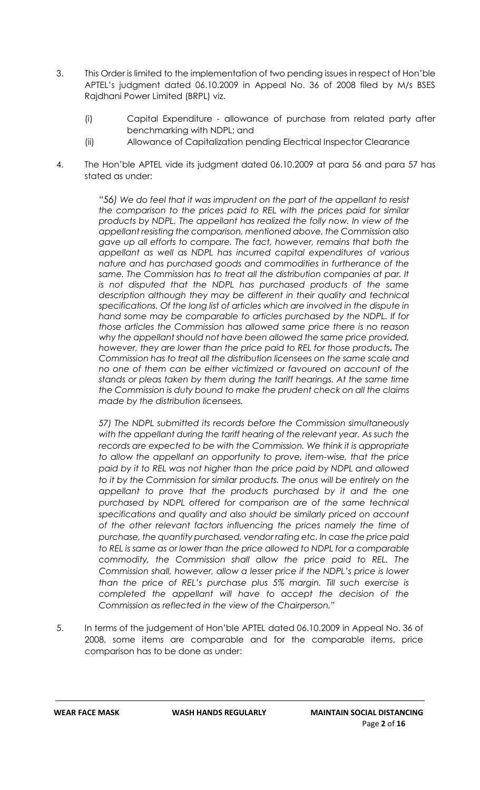- 3. This Order is limited to the implementation of two pending issues in respect of Hon'ble APTEL's judgment dated 06.10.2009 in Appeal No. 36 of 2008 filed by M/s BSES Rajdhani Power Limited (BRPL) viz.
	- (i) Capital Expenditure allowance of purchase from related party after benchmarking with NDPL; and
	- (ii) Allowance of Capitalization pending Electrical Inspector Clearance
- 4. The Hon'ble APTEL vide its judgment dated 06.10.2009 at para 56 and para 57 has stated as under:

*"56) We do feel that it was imprudent on the part of the appellant to resist the comparison to the prices paid to REL with the prices paid for similar products by NDPL. The appellant has realized the folly now. In view of the appellant resisting the comparison, mentioned above, the Commission also gave up all efforts to compare. The fact, however, remains that both the appellant as well as NDPL has incurred capital expenditures of various nature and has purchased goods and commodities in furtherance of the same. The Commission has to treat all the distribution companies at par. It is not disputed that the NDPL has purchased products of the same description although they may be different in their quality and technical specifications. Of the long list of articles which are involved in the dispute in hand some may be comparable to articles purchased by the NDPL. If for those articles the Commission has allowed same price there is no reason why the appellant should not have been allowed the same price provided, however, they are lower than the price paid to REL for those products. The Commission has to treat all the distribution licensees on the same scale and no one of them can be either victimized or favoured on account of the stands or pleas taken by them during the tariff hearings. At the same time the Commission is duty bound to make the prudent check on all the claims made by the distribution licensees.*

*57) The NDPL submitted its records before the Commission simultaneously with the appellant during the tariff hearing of the relevant year. As such the records are expected to be with the Commission. We think it is appropriate to allow the appellant an opportunity to prove, item-wise, that the price paid by it to REL was not higher than the price paid by NDPL and allowed*  to it by the Commission for similar products. The onus will be entirely on the *appellant to prove that the products purchased by it and the one purchased by NDPL offered for comparison are of the same technical specifications and quality and also should be similarly priced on account of the other relevant factors influencing the prices namely the time of purchase, the quantity purchased, vendor rating etc. In case the price paid to REL is same as or lower than the price allowed to NDPL for a comparable commodity, the Commission shall allow the price paid to REL. The Commission shall, however, allow a lesser price if the NDPL's price is lower than the price of REL's purchase plus 5% margin. Till such exercise is completed the appellant will have to accept the decision of the Commission as reflected in the view of the Chairperson."*

5. In terms of the judgement of Hon'ble APTEL dated 06.10.2009 in Appeal No. 36 of 2008, some items are comparable and for the comparable items, price comparison has to be done as under: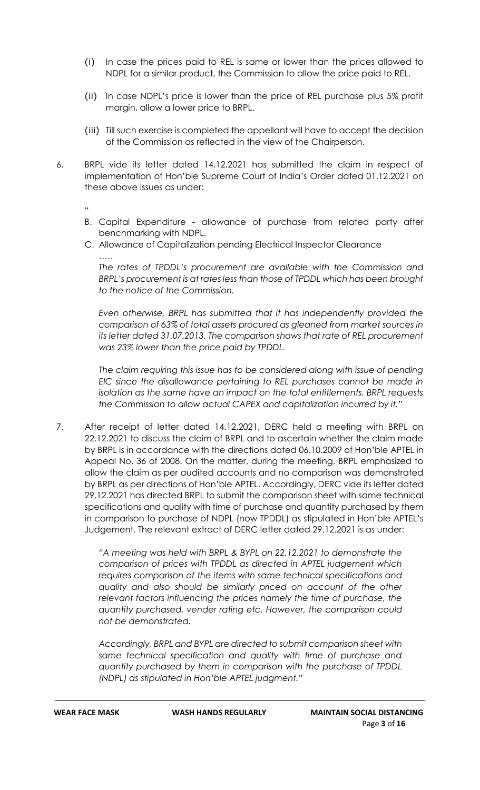- (i) In case the prices paid to REL is same or lower than the prices allowed to NDPL for a similar product, the Commission to allow the price paid to REL.
- (ii) In case NDPL's price is lower than the price of REL purchase plus 5% profit margin, allow a lower price to BRPL.
- (iii) Till such exercise is completed the appellant will have to accept the decision of the Commission as reflected in the view of the Chairperson.
- 6. BRPL vide its letter dated 14.12.2021 has submitted the claim in respect of implementation of Hon'ble Supreme Court of India's Order dated 01.12.2021 on these above issues as under:

"

- B. Capital Expenditure allowance of purchase from related party after benchmarking with NDPL.
- C. Allowance of Capitalization pending Electrical Inspector Clearance

….. *The rates of TPDDL's procurement are available with the Commission and BRPL's procurement is at rates less than those of TPDDL which has been brought to the notice of the Commission.*

*Even otherwise, BRPL has submitted that it has independently provided the comparison of 63% of total assets procured as gleaned from market sources in its letter dated 31.07.2013. The comparison shows that rate of REL procurement was 23% lower than the price paid by TPDDL.* 

*The claim requiring this issue has to be considered along with issue of pending EIC since the disallowance pertaining to REL purchases cannot be made in isolation as the same have an impact on the total entitlements. BRPL requests the Commission to allow actual CAPEX and capitalization incurred by it."*

7. After receipt of letter dated 14.12.2021, DERC held a meeting with BRPL on 22.12.2021 to discuss the claim of BRPL and to ascertain whether the claim made by BRPL is in accordance with the directions dated 06.10.2009 of Hon'ble APTEL in Appeal No. 36 of 2008. On the matter, during the meeting, BRPL emphasized to allow the claim as per audited accounts and no comparison was demonstrated by BRPL as per directions of Hon'ble APTEL. Accordingly, DERC vide its letter dated 29.12.2021 has directed BRPL to submit the comparison sheet with same technical specifications and quality with time of purchase and quantity purchased by them in comparison to purchase of NDPL (now TPDDL) as stipulated in Hon'ble APTEL's Judgement. The relevant extract of DERC letter dated 29.12.2021 is as under:

> *"A meeting was held with BRPL & BYPL on 22.12.2021 to demonstrate the comparison of prices with TPDDL as directed in APTEL judgement which requires comparison of the items with same technical specifications and quality and also should be similarly priced on account of the other relevant factors influencing the prices namely the time of purchase, the quantity purchased, vender rating etc. However, the comparison could not be demonstrated.*

> *Accordingly, BRPL and BYPL are directed to submit comparison sheet with same technical specification and quality with time of purchase and quantity purchased by them in comparison with the purchase of TPDDL (NDPL) as stipulated in Hon'ble APTEL judgment."*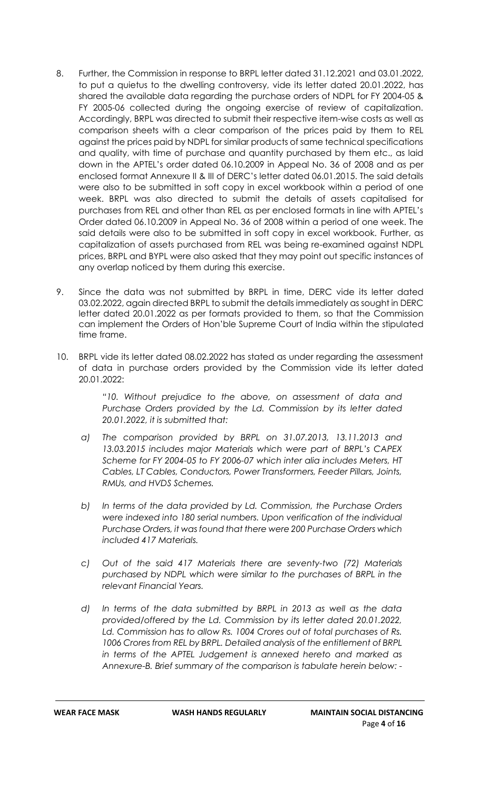- 8. Further, the Commission in response to BRPL letter dated 31.12.2021 and 03.01.2022, to put a quietus to the dwelling controversy, vide its letter dated 20.01.2022, has shared the available data regarding the purchase orders of NDPL for FY 2004-05 & FY 2005-06 collected during the ongoing exercise of review of capitalization. Accordingly, BRPL was directed to submit their respective item-wise costs as well as comparison sheets with a clear comparison of the prices paid by them to REL against the prices paid by NDPL for similar products of same technical specifications and quality, with time of purchase and quantity purchased by them etc., as laid down in the APTEL's order dated 06.10.2009 in Appeal No. 36 of 2008 and as per enclosed format Annexure II & III of DERC's letter dated 06.01.2015. The said details were also to be submitted in soft copy in excel workbook within a period of one week. BRPL was also directed to submit the details of assets capitalised for purchases from REL and other than REL as per enclosed formats in line with APTEL's Order dated 06.10.2009 in Appeal No. 36 of 2008 within a period of one week. The said details were also to be submitted in soft copy in excel workbook. Further, as capitalization of assets purchased from REL was being re-examined against NDPL prices, BRPL and BYPL were also asked that they may point out specific instances of any overlap noticed by them during this exercise.
- 9. Since the data was not submitted by BRPL in time, DERC vide its letter dated 03.02.2022, again directed BRPL to submit the details immediately as sought in DERC letter dated 20.01.2022 as per formats provided to them, so that the Commission can implement the Orders of Hon'ble Supreme Court of India within the stipulated time frame.
- 10. BRPL vide its letter dated 08.02.2022 has stated as under regarding the assessment of data in purchase orders provided by the Commission vide its letter dated 20.01.2022:

*"10. Without prejudice to the above, on assessment of data and Purchase Orders provided by the Ld. Commission by its letter dated 20.01.2022, it is submitted that:*

- *a) The comparison provided by BRPL on 31.07.2013, 13.11.2013 and 13.03.2015 includes major Materials which were part of BRPL's CAPEX Scheme for FY 2004-05 to FY 2006-07 which inter alia includes Meters, HT Cables, LT Cables, Conductors, Power Transformers, Feeder Pillars, Joints, RMUs, and HVDS Schemes.*
- *b) In terms of the data provided by Ld. Commission, the Purchase Orders were indexed into 180 serial numbers. Upon verification of the individual Purchase Orders, it was found that there were 200 Purchase Orders which included 417 Materials.*
- *c) Out of the said 417 Materials there are seventy-two (72) Materials purchased by NDPL which were similar to the purchases of BRPL in the relevant Financial Years.*
- *d) In terms of the data submitted by BRPL in 2013 as well as the data provided/offered by the Ld. Commission by its letter dated 20.01.2022, Ld. Commission has to allow Rs. 1004 Crores out of total purchases of Rs. 1006 Crores from REL by BRPL. Detailed analysis of the entitlement of BRPL in terms of the APTEL Judgement is annexed hereto and marked as Annexure-B. Brief summary of the comparison is tabulate herein below: -*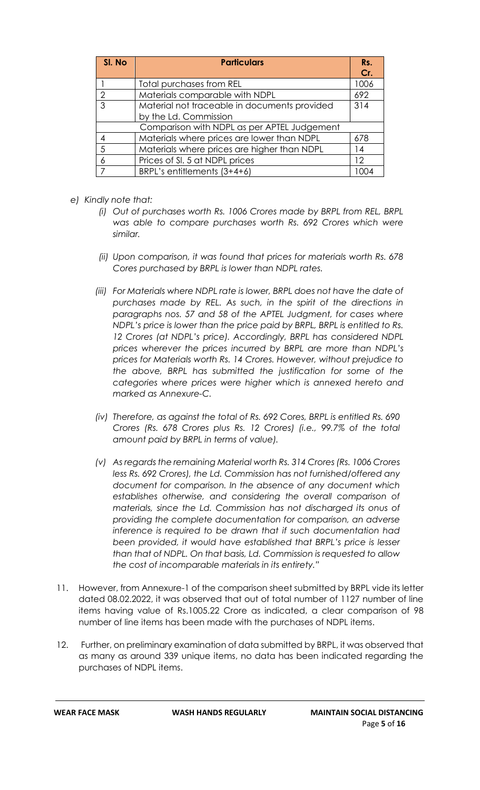| SI. No        | <b>Particulars</b>                           | Rs.  |
|---------------|----------------------------------------------|------|
|               |                                              | Cr.  |
|               | Total purchases from REL                     | 1006 |
| $\mathcal{P}$ | Materials comparable with NDPL               | 692  |
| 3             | Material not traceable in documents provided | 314  |
|               | by the Ld. Commission                        |      |
|               | Comparison with NDPL as per APTEL Judgement  |      |
|               | Materials where prices are lower than NDPL   | 678  |
| 5             | Materials where prices are higher than NDPL  | 14   |
|               | Prices of SI. 5 at NDPL prices               | 12   |
|               | BRPL's entitlements (3+4+6)                  | ∩∩∠  |

- *e) Kindly note that:*
	- *(i) Out of purchases worth Rs. 1006 Crores made by BRPL from REL, BRPL was able to compare purchases worth Rs. 692 Crores which were similar.*
	- *(ii) Upon comparison, it was found that prices for materials worth Rs. 678 Cores purchased by BRPL is lower than NDPL rates.*
	- *(iii) For Materials where NDPL rate is lower, BRPL does not have the date of purchases made by REL. As such, in the spirit of the directions in paragraphs nos. 57 and 58 of the APTEL Judgment, for cases where NDPL's price is lower than the price paid by BRPL, BRPL is entitled to Rs. 12 Crores (at NDPL's price). Accordingly, BRPL has considered NDPL prices wherever the prices incurred by BRPL are more than NDPL's prices for Materials worth Rs. 14 Crores. However, without prejudice to the above, BRPL has submitted the justification for some of the categories where prices were higher which is annexed hereto and marked as Annexure-C.*
	- *(iv) Therefore, as against the total of Rs. 692 Cores, BRPL is entitled Rs. 690 Crores (Rs. 678 Crores plus Rs. 12 Crores) (i.e., 99.7% of the total amount paid by BRPL in terms of value).*
	- *(v) As regards the remaining Material worth Rs. 314 Crores (Rs. 1006 Crores less Rs. 692 Crores), the Ld. Commission has not furnished/offered any document for comparison. In the absence of any document which establishes otherwise, and considering the overall comparison of materials, since the Ld. Commission has not discharged its onus of providing the complete documentation for comparison, an adverse inference is required to be drawn that if such documentation had been provided, it would have established that BRPL's price is lesser than that of NDPL. On that basis, Ld. Commission is requested to allow the cost of incomparable materials in its entirety."*
- 11. However, from Annexure-1 of the comparison sheet submitted by BRPL vide its letter dated 08.02.2022, it was observed that out of total number of 1127 number of line items having value of Rs.1005.22 Crore as indicated, a clear comparison of 98 number of line items has been made with the purchases of NDPL items.
- 12. Further, on preliminary examination of data submitted by BRPL, it was observed that as many as around 339 unique items, no data has been indicated regarding the purchases of NDPL items.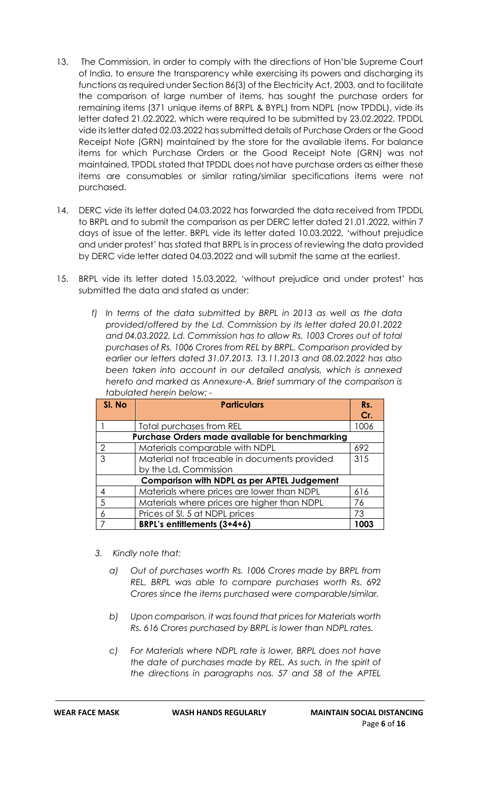- 13. The Commission, in order to comply with the directions of Hon'ble Supreme Court of India, to ensure the transparency while exercising its powers and discharging its functions as required under Section 86(3) of the Electricity Act, 2003, and to facilitate the comparison of large number of items, has sought the purchase orders for remaining items (371 unique items of BRPL & BYPL) from NDPL (now TPDDL), vide its letter dated 21.02.2022, which were required to be submitted by 23.02.2022. TPDDL vide its letter dated 02.03.2022 has submitted details of Purchase Orders or the Good Receipt Note (GRN) maintained by the store for the available items. For balance items for which Purchase Orders or the Good Receipt Note (GRN) was not maintained, TPDDL stated that TPDDL does not have purchase orders as either these items are consumables or similar rating/similar specifications items were not purchased.
- 14. DERC vide its letter dated 04.03.2022 has forwarded the data received from TPDDL to BRPL and to submit the comparison as per DERC letter dated 21.01.2022, within 7 days of issue of the letter. BRPL vide its letter dated 10.03.2022, 'without prejudice and under protest' has stated that BRPL is in process of reviewing the data provided by DERC vide letter dated 04.03.2022 and will submit the same at the earliest.
- 15. BRPL vide its letter dated 15.03.2022, 'without prejudice and under protest' has submitted the data and stated as under:
	- *f) In terms of the data submitted by BRPL in 2013 as well as the data provided/offered by the Ld. Commission by its letter dated 20.01.2022 and 04.03.2022, Ld. Commission has to allow Rs. 1003 Crores out of total purchases of Rs. 1006 Crores from REL by BRPL. Comparison provided by earlier our letters dated 31.07.2013, 13.11.2013 and 08.02.2022 has also been taken into account in our detailed analysis, which is annexed hereto and marked as Annexure-A. Brief summary of the comparison is tabulated herein below: -*

| SI. No                                          | <b>Particulars</b>                           | Rs.  |  |  |  |  |  |  |  |  |
|-------------------------------------------------|----------------------------------------------|------|--|--|--|--|--|--|--|--|
|                                                 |                                              | Cr.  |  |  |  |  |  |  |  |  |
|                                                 | Total purchases from REL                     | 1006 |  |  |  |  |  |  |  |  |
| Purchase Orders made available for benchmarking |                                              |      |  |  |  |  |  |  |  |  |
| 2                                               | Materials comparable with NDPL               | 692  |  |  |  |  |  |  |  |  |
| 3                                               | Material not traceable in documents provided | 315  |  |  |  |  |  |  |  |  |
|                                                 | by the Ld. Commission                        |      |  |  |  |  |  |  |  |  |
|                                                 | Comparison with NDPL as per APTEL Judgement  |      |  |  |  |  |  |  |  |  |
| 4                                               | Materials where prices are lower than NDPL   | 616  |  |  |  |  |  |  |  |  |
| 5                                               | Materials where prices are higher than NDPL  | 76   |  |  |  |  |  |  |  |  |
| 6                                               | Prices of SI. 5 at NDPL prices               | 73   |  |  |  |  |  |  |  |  |
|                                                 | BRPL's entitlements (3+4+6)                  | 1003 |  |  |  |  |  |  |  |  |

- *3. Kindly note that:*
	- *a) Out of purchases worth Rs. 1006 Crores made by BRPL from REL, BRPL was able to compare purchases worth Rs. 692 Crores since the items purchased were comparable/similar.*
	- *b) Upon comparison, it was found that prices for Materials worth Rs. 616 Crores purchased by BRPL is lower than NDPL rates.*
	- *c) For Materials where NDPL rate is lower, BRPL does not have the date of purchases made by REL. As such, in the spirit of the directions in paragraphs nos. 57 and 58 of the APTEL*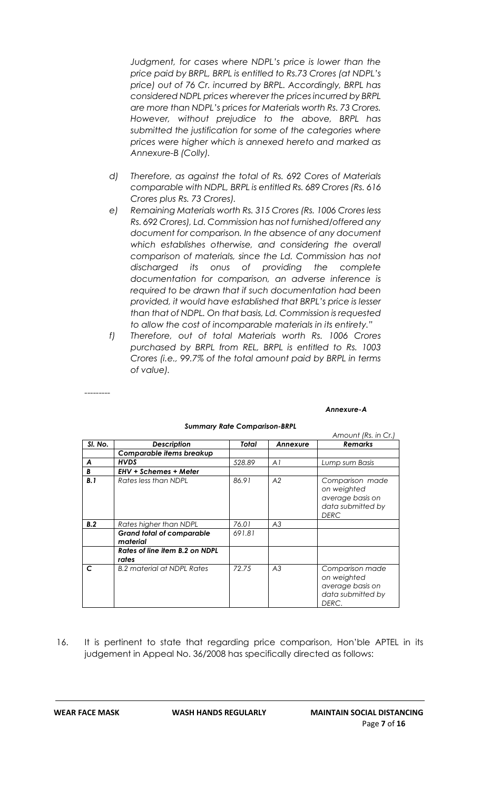*Judgment, for cases where NDPL's price is lower than the price paid by BRPL, BRPL is entitled to Rs.73 Crores (at NDPL's price) out of 76 Cr. incurred by BRPL. Accordingly, BRPL has considered NDPL prices wherever the prices incurred by BRPL are more than NDPL's prices for Materials worth Rs. 73 Crores. However, without prejudice to the above, BRPL has submitted the justification for some of the categories where prices were higher which is annexed hereto and marked as Annexure-B (Colly).*

- *d) Therefore, as against the total of Rs. 692 Cores of Materials comparable with NDPL, BRPL is entitled Rs. 689 Crores (Rs. 616 Crores plus Rs. 73 Crores).*
- *e) Remaining Materials worth Rs. 315 Crores (Rs. 1006 Crores less Rs. 692 Crores), Ld. Commission has not furnished/offered any document for comparison. In the absence of any document which establishes otherwise, and considering the overall comparison of materials, since the Ld. Commission has not discharged its onus of providing the complete documentation for comparison, an adverse inference is required to be drawn that if such documentation had been provided, it would have established that BRPL's price is lesser than that of NDPL. On that basis, Ld. Commission is requested to allow the cost of incomparable materials in its entirety."*
- *f) Therefore, out of total Materials worth Rs. 1006 Crores purchased by BRPL from REL, BRPL is entitled to Rs. 1003 Crores (i.e., 99.7% of the total amount paid by BRPL in terms of value).*

*---------*

#### *Annexure-A*

|         |                                              |        |          | Amount (Rs. in Cr.)                                                                    |
|---------|----------------------------------------------|--------|----------|----------------------------------------------------------------------------------------|
| SI. No. | <b>Description</b>                           | Total  | Annexure | <b>Remarks</b>                                                                         |
|         | Comparable items breakup                     |        |          |                                                                                        |
| A       | <b>HVDS</b>                                  | 528.89 | AI       | Lump sum Basis                                                                         |
| B       | <b>EHV + Schemes + Meter</b>                 |        |          |                                                                                        |
| B.1     | Rates less than NDPL                         | 86.91  | A2       | Comparison made<br>on weighted<br>average basis on<br>data submitted by<br><b>DERC</b> |
| B.2     | Rates higher than NDPL                       | 76.01  | A3       |                                                                                        |
|         | <b>Grand total of comparable</b><br>material | 691.81 |          |                                                                                        |
|         | Rates of line item B.2 on NDPL<br>rates      |        |          |                                                                                        |
| C       | <b>B.2</b> material at NDPL Rates            | 72.75  | A3       | Comparison made<br>on weighted<br>average basis on<br>data submitted by<br>DERC.       |

#### *Summary Rate Comparison-BRPL*

16. It is pertinent to state that regarding price comparison, Hon'ble APTEL in its judgement in Appeal No. 36/2008 has specifically directed as follows: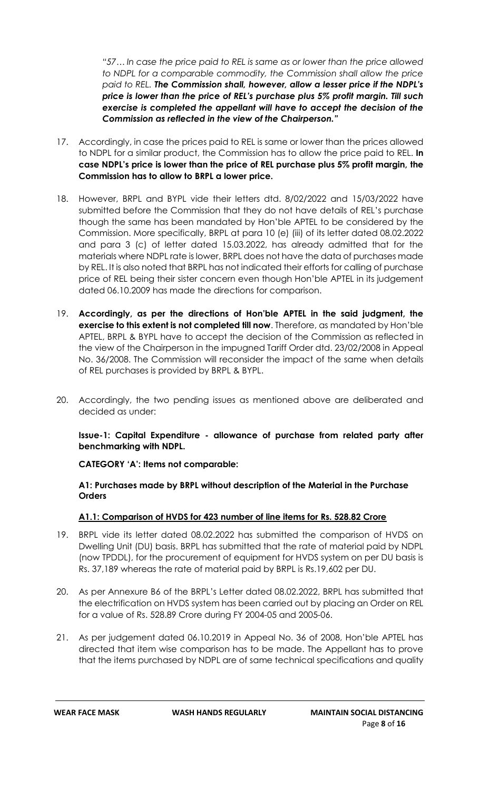*"57… In case the price paid to REL is same as or lower than the price allowed to NDPL for a comparable commodity, the Commission shall allow the price paid to REL. The Commission shall, however, allow a lesser price if the NDPL's price is lower than the price of REL's purchase plus 5% profit margin. Till such exercise is completed the appellant will have to accept the decision of the Commission as reflected in the view of the Chairperson."*

- 17. Accordingly, in case the prices paid to REL is same or lower than the prices allowed to NDPL for a similar product, the Commission has to allow the price paid to REL. **In case NDPL's price is lower than the price of REL purchase plus 5% profit margin, the Commission has to allow to BRPL a lower price.**
- 18. However, BRPL and BYPL vide their letters dtd. 8/02/2022 and 15/03/2022 have submitted before the Commission that they do not have details of REL's purchase though the same has been mandated by Hon'ble APTEL to be considered by the Commission. More specifically, BRPL at para 10 (e) (iii) of its letter dated 08.02.2022 and para 3 (c) of letter dated 15.03.2022, has already admitted that for the materials where NDPL rate is lower, BRPL does not have the data of purchases made by REL. It is also noted that BRPL has not indicated their efforts for calling of purchase price of REL being their sister concern even though Hon'ble APTEL in its judgement dated 06.10.2009 has made the directions for comparison.
- 19. **Accordingly, as per the directions of Hon'ble APTEL in the said judgment, the exercise to this extent is not completed till now**. Therefore, as mandated by Hon'ble APTEL, BRPL & BYPL have to accept the decision of the Commission as reflected in the view of the Chairperson in the impugned Tariff Order dtd. 23/02/2008 in Appeal No. 36/2008. The Commission will reconsider the impact of the same when details of REL purchases is provided by BRPL & BYPL.
- 20. Accordingly, the two pending issues as mentioned above are deliberated and decided as under:

## **Issue-1: Capital Expenditure - allowance of purchase from related party after benchmarking with NDPL.**

**CATEGORY 'A': Items not comparable:**

#### **A1: Purchases made by BRPL without description of the Material in the Purchase Orders**

# **A1.1: Comparison of HVDS for 423 number of line items for Rs. 528.82 Crore**

- 19. BRPL vide its letter dated 08.02.2022 has submitted the comparison of HVDS on Dwelling Unit (DU) basis. BRPL has submitted that the rate of material paid by NDPL (now TPDDL), for the procurement of equipment for HVDS system on per DU basis is Rs. 37,189 whereas the rate of material paid by BRPL is Rs.19,602 per DU.
- 20. As per Annexure B6 of the BRPL's Letter dated 08.02.2022, BRPL has submitted that the electrification on HVDS system has been carried out by placing an Order on REL for a value of Rs. 528.89 Crore during FY 2004-05 and 2005-06.
- 21. As per judgement dated 06.10.2019 in Appeal No. 36 of 2008, Hon'ble APTEL has directed that item wise comparison has to be made. The Appellant has to prove that the items purchased by NDPL are of same technical specifications and quality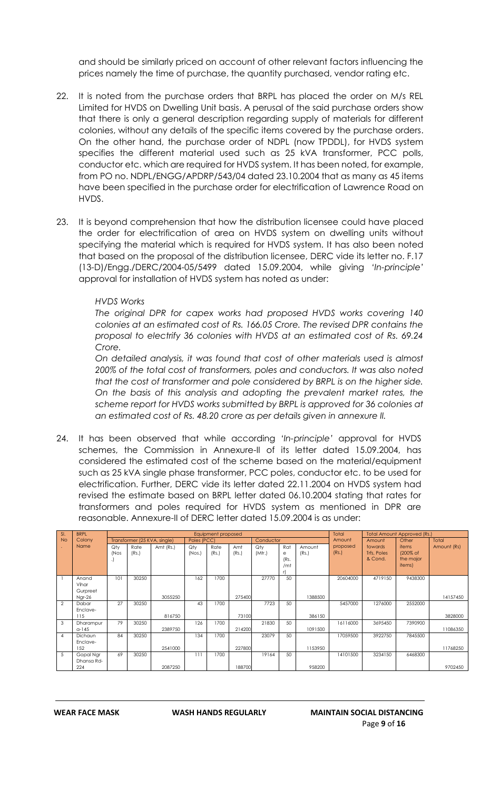and should be similarly priced on account of other relevant factors influencing the prices namely the time of purchase, the quantity purchased, vendor rating etc.

- 22. It is noted from the purchase orders that BRPL has placed the order on M/s REL Limited for HVDS on Dwelling Unit basis. A perusal of the said purchase orders show that there is only a general description regarding supply of materials for different colonies, without any details of the specific items covered by the purchase orders. On the other hand, the purchase order of NDPL (now TPDDL), for HVDS system specifies the different material used such as 25 kVA transformer, PCC polls, conductor etc. which are required for HVDS system. It has been noted, for example, from PO no. NDPL/ENGG/APDRP/543/04 dated 23.10.2004 that as many as 45 items have been specified in the purchase order for electrification of Lawrence Road on HVDS.
- 23. It is beyond comprehension that how the distribution licensee could have placed the order for electrification of area on HVDS system on dwelling units without specifying the material which is required for HVDS system. It has also been noted that based on the proposal of the distribution licensee, DERC vide its letter no. F.17 (13-D)/Engg./DERC/2004-05/5499 dated 15.09.2004, while giving *'In-principle'* approval for installation of HVDS system has noted as under:

#### *HVDS Works*

*The original DPR for capex works had proposed HVDS works covering 140 colonies at an estimated cost of Rs. 166.05 Crore. The revised DPR contains the proposal to electrify 36 colonies with HVDS at an estimated cost of Rs. 69.24 Crore.*

*On detailed analysis, it was found that cost of other materials used is almost 200% of the total cost of transformers, poles and conductors. It was also noted that the cost of transformer and pole considered by BRPL is on the higher side. On the basis of this analysis and adopting the prevalent market rates, the scheme report for HVDS works submitted by BRPL is approved for 36 colonies at an estimated cost of Rs. 48.20 crore as per details given in annexure II.*

24. It has been observed that while according *'In-principle'* approval for HVDS schemes, the Commission in Annexure-II of its letter dated 15.09.2004, has considered the estimated cost of the scheme based on the material/equipment such as 25 kVA single phase transformer, PCC poles, conductor etc. to be used for electrification. Further, DERC vide its letter dated 22.11.2004 on HVDS system had revised the estimate based on BRPL letter dated 06.10.2004 stating that rates for transformers and poles required for HVDS system as mentioned in DPR are reasonable. Annexure-II of DERC letter dated 15.09.2004 is as under:

| SI.            | <b>BRPL</b> |                 |       |                              |              | Equipment proposed |        |           | Total           |         |          |                        | <b>Total Amount Approved (Rs.)</b> |             |
|----------------|-------------|-----------------|-------|------------------------------|--------------|--------------------|--------|-----------|-----------------|---------|----------|------------------------|------------------------------------|-------------|
| <b>No</b>      | Colony      |                 |       | Transformer (25 KVA, single) | Poles (PCC)  |                    |        | Conductor |                 |         | Amount   | Amount                 | Other                              | Total       |
|                | Name        | Qty             | Rate  | Amt (Rs.)                    | Qty          | Rate               | Amt    | Qty       | Rat             | Amount  | proposed | towards                | items                              | Amount (Rs) |
|                |             | (Nos<br>$\cdot$ | (Rs.) |                              | $($ Nos. $)$ | (Rs.)              | (Rs.)  | (Mtr.)    | e<br>(Rs.       | (Rs.)   | (Rs.)    | Trfs, Poles<br>& Cond. | (200% of<br>the major              |             |
|                |             |                 |       |                              |              |                    |        |           | /m <sub>1</sub> |         |          |                        | items)                             |             |
|                | Anand       | 101             | 30250 |                              | 162          | 1700               |        | 27770     | 50              |         | 20604000 | 4719150                | 9438300                            |             |
|                | Vihar       |                 |       |                              |              |                    |        |           |                 |         |          |                        |                                    |             |
|                | Gurpreet    |                 |       |                              |              |                    |        |           |                 |         |          |                        |                                    |             |
|                | Ngr-26      |                 |       | 3055250                      |              |                    | 275400 |           |                 | 1388500 |          |                        |                                    | 14157450    |
| $\overline{2}$ | Dabar       | 27              | 30250 |                              | 43           | 1700               |        | 7723      | 50              |         | 5457000  | 1276000                | 2552000                            |             |
|                | Enclave-    |                 |       |                              |              |                    |        |           |                 |         |          |                        |                                    |             |
|                | 115         |                 |       | 816750                       |              |                    | 73100  |           |                 | 386150  |          |                        |                                    | 3828000     |
| 3              | Dharampur   | 79              | 30250 |                              | 126          | 1700               |        | 21830     | 50              |         | 16116000 | 3695450                | 7390900                            |             |
|                | $a-145$     |                 |       | 2389750                      |              |                    | 214200 |           |                 | 1091500 |          |                        |                                    | 11086350    |
| 4              | Dichaun     | 84              | 30250 |                              | 134          | 1700               |        | 23079     | 50              |         | 17059500 | 3922750                | 7845500                            |             |
|                | Enclave-    |                 |       |                              |              |                    |        |           |                 |         |          |                        |                                    |             |
|                | 152         |                 |       | 2541000                      |              |                    | 227800 |           |                 | 1153950 |          |                        |                                    | 11768250    |
| 5              | Gopal Nar   | 69              | 30250 |                              | 111          | 1700               |        | 19164     | 50              |         | 14101500 | 3234150                | 6468300                            |             |
|                | Dhansa Rd-  |                 |       |                              |              |                    |        |           |                 |         |          |                        |                                    |             |
|                | 224         |                 |       | 2087250                      |              |                    | 188700 |           |                 | 958200  |          |                        |                                    | 9702450     |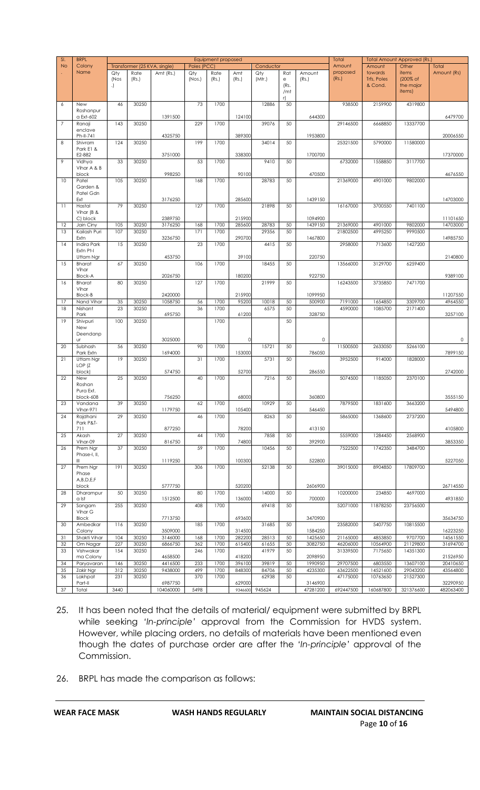| SI.            | <b>BRPL</b>                | Equipment proposed |                              |                      |             |       |                   |           |           |                     | Total     |                        | Total Amount Approved (Rs.) |                       |
|----------------|----------------------------|--------------------|------------------------------|----------------------|-------------|-------|-------------------|-----------|-----------|---------------------|-----------|------------------------|-----------------------------|-----------------------|
| <b>No</b>      | Colony                     |                    | Transformer (25 KVA, single) |                      | Poles (PCC) |       |                   | Conductor |           |                     | Amount    | Amount                 | Other                       | Total                 |
|                | Name                       | Qty                | Rate                         | Amt (Rs.)            | Qty         | Rate  | Amt               | Qty       | Rat       | Amount              | proposed  | towards                | items                       | Amount (Rs)           |
|                |                            | (Nos<br>.)         | (Rs.)                        |                      | (Nos.)      | (Rs.) | (Rs.)             | (Mtr.)    | e<br>(Rs. | (Rs.)               | (Rs.)     | Trfs, Poles<br>& Cond. | (200% of<br>the major       |                       |
|                |                            |                    |                              |                      |             |       |                   |           | /mt       |                     |           |                        | items)                      |                       |
|                |                            |                    |                              |                      |             |       |                   |           | r)        |                     |           |                        |                             |                       |
| 6              | New<br>Roshanpur           | 46                 | 30250                        |                      | 73          | 1700  |                   | 12886     | 50        |                     | 938500    | 2159900                | 4319800                     |                       |
|                | a Ext-602                  |                    |                              | 1391500              |             |       | 124100            |           |           | 644300              |           |                        |                             | 6479700               |
| $\overline{7}$ | Ranaji                     | 143                | 30250                        |                      | 229         | 1700  |                   | 39076     | 50        |                     | 29146500  | 6668850                | 13337700                    |                       |
|                | enclave                    |                    |                              |                      |             |       |                   |           |           |                     |           |                        |                             |                       |
| 8              | Ph-II-741<br>Shivram       | 124                | 30250                        | 4325750              | 199         | 1700  | 389300            | 34014     | 50        | 1953800             | 25321500  | 5790000                | 11580000                    | 20006550              |
|                | Park E1 &                  |                    |                              |                      |             |       |                   |           |           |                     |           |                        |                             |                       |
|                | E2-882                     |                    |                              | 3751000              |             |       | 338300            |           |           | 1700700             |           |                        |                             | 17370000              |
| 9              | Vidhya<br>Vihar A & B      | 33                 | 30250                        |                      | 53          | 1700  |                   | 9410      | 50        |                     | 6732000   | 1558850                | 3117700                     |                       |
|                | block                      |                    |                              | 998250               |             |       | 90100             |           |           | 470500              |           |                        |                             | 4676550               |
| 10             | Patel                      | 105                | 30250                        |                      | 168         | 1700  |                   | 28783     | 50        |                     | 21369000  | 4901000                | 9802000                     |                       |
|                | Garden &                   |                    |                              |                      |             |       |                   |           |           |                     |           |                        |                             |                       |
|                | Patel Gdn<br>Ext           |                    |                              | 3176250              |             |       | 285600            |           |           | 1439150             |           |                        |                             | 14703000              |
| 11             | Hastal                     | 79                 | 30250                        |                      | 127         | 1700  |                   | 21898     | 50        |                     | 16167000  | 3700550                | 7401100                     |                       |
|                | Vihar ( $B$ &              |                    |                              |                      |             |       |                   |           |           |                     |           |                        |                             |                       |
| 12             | C) block<br>Jain Ciny      | 105                | 30250                        | 2389750<br>3176250   | 168         | 1700  | 215900<br>285600  | 28783     | 50        | 1094900<br>1439150  | 21369000  | 4901000                | 9802000                     | 11101650<br>14703000  |
| 13             | Kailash Puri               | 107                | 30250                        |                      | 171         | 1700  |                   | 29356     | 50        |                     | 21802500  | 4995250                | 9990500                     |                       |
|                | Extn                       |                    |                              | 3236750              |             |       | 290700            |           |           | 1467800             |           |                        |                             | 14985750              |
| 14             | Indira Park                | 15                 | 30250                        |                      | 23          | 1700  |                   | 4415      | 50        |                     | 2958000   | 713600                 | 1427200                     |                       |
|                | Extn Pt-I                  |                    |                              | 453750               |             |       | 39100             |           |           | 220750              |           |                        |                             | 2140800               |
| 15             | Uttam Ngr<br><b>Bharat</b> | 67                 | 30250                        |                      | 106         | 1700  |                   | 18455     | 50        |                     | 13566000  | 3129700                | 6259400                     |                       |
|                | Vihar                      |                    |                              |                      |             |       |                   |           |           |                     |           |                        |                             |                       |
|                | <b>Block-A</b>             |                    |                              | 2026750              |             |       | 180200            |           |           | 922750              |           |                        |                             | 9389100               |
| 16             | <b>Bharat</b><br>Vihar     | 80                 | 30250                        |                      | 127         | 1700  |                   | 21999     | 50        |                     | 16243500  | 3735850                | 7471700                     |                       |
|                | <b>Block-B</b>             |                    |                              | 2420000              |             |       | 215900            |           |           | 1099950             |           |                        |                             | 11207550              |
| 17             | Nand Vihar                 | 35                 | 30250                        | 1058750              | 56          | 1700  | 95200             | 10018     | 50        | 500900              | 7191000   | 1654850                | 3309700                     | 4964550               |
| 18             | Nishant                    | 23                 | 30250                        |                      | 36          | 1700  |                   | 6575      | 50        |                     | 4590000   | 1085700                | 2171400                     |                       |
| 19             | Park<br>Shivpuri           | 100                | 30250                        | 695750               |             | 1700  | 61200             |           | 50        | 328750              |           |                        |                             | 3257100               |
|                | New                        |                    |                              |                      |             |       |                   |           |           |                     |           |                        |                             |                       |
|                | Deendanp                   |                    |                              |                      |             |       |                   |           |           |                     |           |                        |                             |                       |
|                | Ur                         |                    |                              | 3025000              | 90          | 1700  | 0                 |           |           | $\mathsf{O}\xspace$ |           |                        |                             | 0                     |
| 20             | Subhash<br>Park Extn       | 56                 | 30250                        | 1694000              |             |       | 153000            | 15721     | 50        | 786050              | 11500500  | 2633050                | 5266100                     | 7899150               |
| 21             | Uttam Ngr                  | 19                 | 30250                        |                      | 31          | 1700  |                   | 5731      | 50        |                     | 3952500   | 914000                 | 1828000                     |                       |
|                | LOP <sub>(Z</sub>          |                    |                              |                      |             |       |                   |           |           |                     |           |                        |                             |                       |
| 22             | block)<br>New              | 25                 | 30250                        | 574750               | 40          | 1700  | 52700             | 7216      | 50        | 286550              | 5074500   | 1185050                | 2370100                     | 2742000               |
|                | Roshan                     |                    |                              |                      |             |       |                   |           |           |                     |           |                        |                             |                       |
|                | Pura Ext.                  |                    |                              |                      |             |       |                   |           |           |                     |           |                        |                             |                       |
|                | block-608                  | 39                 |                              | 756250               |             |       | 68000             |           |           | 360800              |           | 1831600                |                             | 3555150               |
| 23             | Vandana<br>Vihar-971       |                    | 30250                        | 1179750              | 62          | 1700  | 105400            | 10929     | 50        | 546450              | 7879500   |                        | 3663200                     | 5494800               |
| 24             | Rajdhani                   | 29                 | 30250                        |                      | 46          | 1700  |                   | 8263      | 50        |                     | 5865000   | 1368600                | 2737200                     |                       |
|                | Park P&T-                  |                    |                              |                      |             |       |                   |           |           |                     |           |                        |                             |                       |
| 25             | 711<br>Akash               | 27                 | 30250                        | 877250               | 44          | 1700  | 78200             | 7858      | 50        | 413150              | 5559000   | 1284450                | 2568900                     | 4105800               |
|                | Vihar-09                   |                    |                              | 816750               |             |       | 74800             |           |           | 392900              |           |                        |                             | 3853350               |
| 26             | Prem Ngr                   | 37                 | 30250                        |                      | 59          | 1700  |                   | 10456     | 50        |                     | 7522500   | 1742350                | 3484700                     |                       |
|                | Phase-I, II,               |                    |                              |                      |             |       |                   |           |           |                     |           |                        |                             |                       |
| 27             | Ш<br>Prem Ngr              | 191                | 30250                        | 1119250              | 306         | 1700  | 100300            | 52138     | 50        | 522800              | 39015000  | 8904850                | 17809700                    | 5227050               |
|                | Phase                      |                    |                              |                      |             |       |                   |           |           |                     |           |                        |                             |                       |
|                | A,B,D,E,F                  |                    |                              |                      |             |       |                   |           |           |                     |           |                        |                             |                       |
| 28             | block<br>Dharampur         | 50                 | 30250                        | 5777750              | 80          | 1700  | 520200            | 14000     | 50        | 2606900             | 10200000  | 234850                 | 4697000                     | 26714550              |
|                | a Ist                      |                    |                              | 1512500              |             |       | 136000            |           |           | 700000              |           |                        |                             | 4931850               |
| 29             | Sangam                     | 255                | 30250                        |                      | 408         | 1700  |                   | 69418     | 50        |                     | 52071000  | 11878250               | 23756500                    |                       |
|                | Vihar G                    |                    |                              |                      |             |       |                   |           |           |                     |           |                        |                             |                       |
| 30             | <b>Block</b><br>Ambedkar   | 116                | 30250                        | 7713750              | 185         | 1700  | 693600            | 31685     | 50        | 3470900             | 23582000  | 5407750                | 10815500                    | 35634750              |
|                | Colony                     |                    |                              | 3509000              |             |       | 314500            |           |           | 1584250             |           |                        |                             | 16223250              |
| 31             | Shakti Vihar               | 104                | 30250                        | 3146000              | 168         | 1700  | 282200            | 28513     | 50        | 1425650             | 21165000  | 4853850                | 9707700                     | 14561550              |
| 32             | Om Nagar                   | 227                | 30250                        | 6866750              | 362         | 1700  | 61540C            | 61655     | 50        | 3082750             | 46206000  | 10564900               | 21129800                    | 31694700              |
| 33             | Vishwakar<br>ma Colony     | 154                | 30250                        | 4658500              | 246         | 1700  | 418200            | 41979     | 50        | 2098950             | 31339500  | 7175650                | 14351300                    | 21526950              |
| 34             | Paryavaran                 | 146                | 30250                        | 4416500              | 233         | 1700  | 396100            | 39819     | 50        | 1990950             | 29707500  | 6803550                | 13607100                    | 20410650              |
| 35             | Zakir Ngr                  | 312                | 30250                        | 9438000              | 499         | 1700  | 848300            | 84706     | 50        | 4235300             | 63622500  | 14521600               | 29043200                    | 43564800              |
| 36             | Lakhpat                    | 231                | 30250                        |                      | 370         | 1700  |                   | 62938     | 50        |                     | 47175000  | 10763650               | 21527300                    |                       |
| 37             | Part-II<br>Total           | 3440               |                              | 6987750<br>104060000 | 5498        |       | 629000<br>9346600 | 945624    |           | 3146900<br>47281200 | 692447500 | 160687800              | 321376600                   | 32290950<br>482063400 |
|                |                            |                    |                              |                      |             |       |                   |           |           |                     |           |                        |                             |                       |

- 25. It has been noted that the details of material/ equipment were submitted by BRPL while seeking *'In-principle'* approval from the Commission for HVDS system. However, while placing orders, no details of materials have been mentioned even though the dates of purchase order are after the *'In-principle'* approval of the Commission.
- 26. BRPL has made the comparison as follows: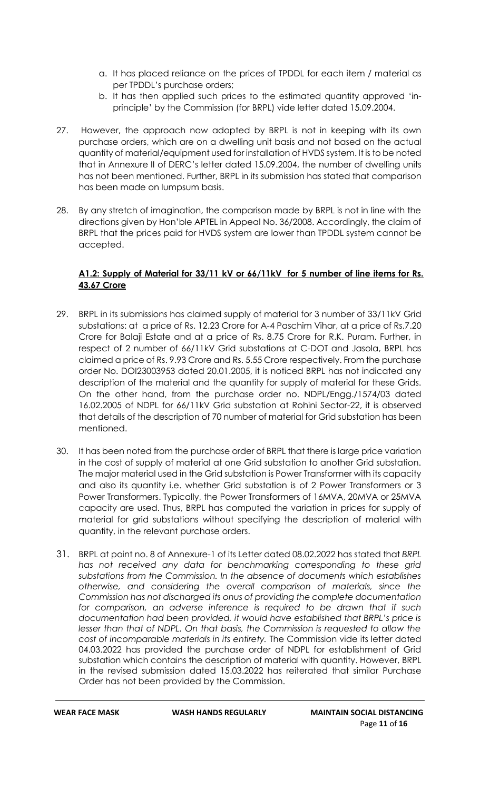- a. It has placed reliance on the prices of TPDDL for each item / material as per TPDDL's purchase orders;
- b. It has then applied such prices to the estimated quantity approved 'inprinciple' by the Commission (for BRPL) vide letter dated 15.09.2004.
- 27. However, the approach now adopted by BRPL is not in keeping with its own purchase orders, which are on a dwelling unit basis and not based on the actual quantity of material/equipment used for installation of HVDS system. It is to be noted that in Annexure II of DERC's letter dated 15.09.2004, the number of dwelling units has not been mentioned. Further, BRPL in its submission has stated that comparison has been made on lumpsum basis.
- 28. By any stretch of imagination, the comparison made by BRPL is not in line with the directions given by Hon'ble APTEL in Appeal No. 36/2008. Accordingly, the claim of BRPL that the prices paid for HVDS system are lower than TPDDL system cannot be accepted.

# **A1.2: Supply of Material for 33/11 kV or 66/11kV for 5 number of line items for Rs. 43.67 Crore**

- 29. BRPL in its submissions has claimed supply of material for 3 number of 33/11kV Grid substations: at a price of Rs. 12.23 Crore for A-4 Paschim Vihar, at a price of Rs.7.20 Crore for Balaji Estate and at a price of Rs. 8.75 Crore for R.K. Puram. Further, in respect of 2 number of 66/11kV Grid substations at C-DOT and Jasola, BRPL has claimed a price of Rs. 9.93 Crore and Rs. 5.55 Crore respectively. From the purchase order No. DOI23003953 dated 20.01.2005, it is noticed BRPL has not indicated any description of the material and the quantity for supply of material for these Grids. On the other hand, from the purchase order no. NDPL/Engg./1574/03 dated 16.02.2005 of NDPL for 66/11kV Grid substation at Rohini Sector-22, it is observed that details of the description of 70 number of material for Grid substation has been mentioned.
- 30. It has been noted from the purchase order of BRPL that there is large price variation in the cost of supply of material at one Grid substation to another Grid substation. The major material used in the Grid substation is Power Transformer with its capacity and also its quantity i.e. whether Grid substation is of 2 Power Transformers or 3 Power Transformers. Typically, the Power Transformers of 16MVA, 20MVA or 25MVA capacity are used. Thus, BRPL has computed the variation in prices for supply of material for grid substations without specifying the description of material with quantity, in the relevant purchase orders.
- 31. BRPL at point no. 8 of Annexure-1 of its Letter dated 08.02.2022 has stated that *BRPL has not received any data for benchmarking corresponding to these grid substations from the Commission. In the absence of documents which establishes otherwise, and considering the overall comparison of materials, since the Commission has not discharged its onus of providing the complete documentation for comparison, an adverse inference is required to be drawn that if such documentation had been provided, it would have established that BRPL's price is*  lesser than that of NDPL. On that basis, the Commission is requested to allow the *cost of incomparable materials in its entirety.* The Commission vide its letter dated 04.03.2022 has provided the purchase order of NDPL for establishment of Grid substation which contains the description of material with quantity. However, BRPL in the revised submission dated 15.03.2022 has reiterated that similar Purchase Order has not been provided by the Commission.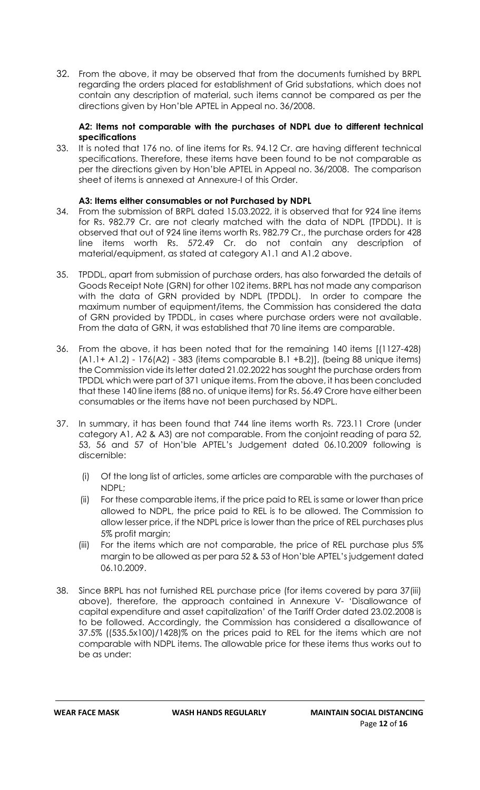32. From the above, it may be observed that from the documents furnished by BRPL regarding the orders placed for establishment of Grid substations, which does not contain any description of material, such items cannot be compared as per the directions given by Hon'ble APTEL in Appeal no. 36/2008.

#### **A2: Items not comparable with the purchases of NDPL due to different technical specifications**

33. It is noted that 176 no. of line items for Rs. 94.12 Cr. are having different technical specifications. Therefore, these items have been found to be not comparable as per the directions given by Hon'ble APTEL in Appeal no. 36/2008. The comparison sheet of items is annexed at Annexure-I of this Order.

## **A3: Items either consumables or not Purchased by NDPL**

- 34. From the submission of BRPL dated 15.03.2022, it is observed that for 924 line items for Rs. 982.79 Cr. are not clearly matched with the data of NDPL (TPDDL). It is observed that out of 924 line items worth Rs. 982.79 Cr., the purchase orders for 428 line items worth Rs. 572.49 Cr. do not contain any description of material/equipment, as stated at category A1.1 and A1.2 above.
- 35. TPDDL, apart from submission of purchase orders, has also forwarded the details of Goods Receipt Note (GRN) for other 102 items. BRPL has not made any comparison with the data of GRN provided by NDPL (TPDDL). In order to compare the maximum number of equipment/items, the Commission has considered the data of GRN provided by TPDDL, in cases where purchase orders were not available. From the data of GRN, it was established that 70 line items are comparable.
- 36. From the above, it has been noted that for the remaining 140 items [(1127-428) (A1.1+ A1.2) - 176(A2) - 383 (items comparable B.1 +B.2)], (being 88 unique items) the Commission vide its letter dated 21.02.2022 has sought the purchase orders from TPDDL which were part of 371 unique items. From the above, it has been concluded that these 140 line items (88 no. of unique items) for Rs. 56.49 Crore have either been consumables or the items have not been purchased by NDPL.
- 37. In summary, it has been found that 744 line items worth Rs. 723.11 Crore (under category A1, A2 & A3) are not comparable. From the conjoint reading of para 52, 53, 56 and 57 of Hon'ble APTEL's Judgement dated 06.10.2009 following is discernible:
	- (i) Of the long list of articles, some articles are comparable with the purchases of NDPL;
	- (ii) For these comparable items, if the price paid to REL is same or lower than price allowed to NDPL, the price paid to REL is to be allowed. The Commission to allow lesser price, if the NDPL price is lower than the price of REL purchases plus 5% profit margin;
	- (iii) For the items which are not comparable, the price of REL purchase plus 5% margin to be allowed as per para 52 & 53 of Hon'ble APTEL's judgement dated 06.10.2009.
- 38. Since BRPL has not furnished REL purchase price (for items covered by para 37(iii) above), therefore, the approach contained in Annexure V- 'Disallowance of capital expenditure and asset capitalization' of the Tariff Order dated 23.02.2008 is to be followed. Accordingly, the Commission has considered a disallowance of 37.5% ((535.5x100)/1428)% on the prices paid to REL for the items which are not comparable with NDPL items. The allowable price for these items thus works out to be as under: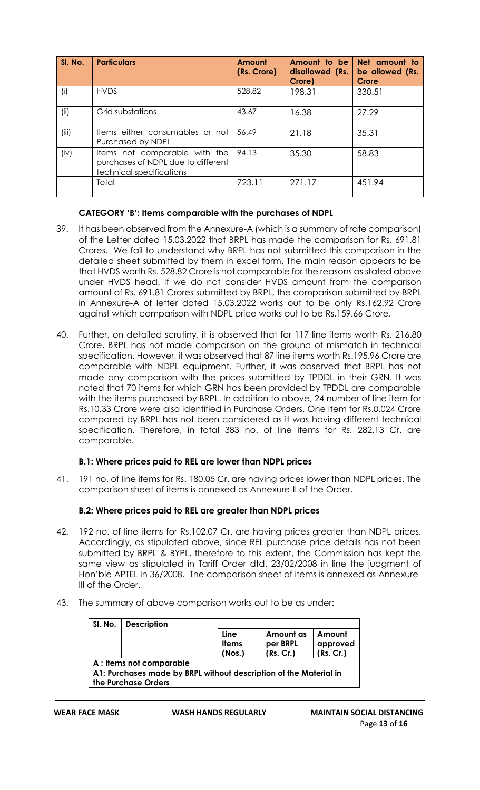| SI. No. | <b>Particulars</b>                                                                              | Amount<br>(Rs. Crore) | Amount to be<br>disallowed (Rs.<br>Crore) | Net amount to<br>be allowed (Rs.<br><b>Crore</b> |
|---------|-------------------------------------------------------------------------------------------------|-----------------------|-------------------------------------------|--------------------------------------------------|
| (i)     | <b>HVDS</b>                                                                                     | 528.82                | 198.31                                    | 330.51                                           |
| (ii)    | Grid substations                                                                                | 43.67                 | 16.38                                     | 27.29                                            |
| (iii)   | Items either consumables or not<br>Purchased by NDPL                                            | 56.49                 | 21.18                                     | 35.31                                            |
| (iv)    | Items not comparable with the<br>purchases of NDPL due to different<br>technical specifications | 94.13                 | 35.30                                     | 58.83                                            |
|         | Total                                                                                           | 723.11                | 271.17                                    | 451.94                                           |

# **CATEGORY 'B': Items comparable with the purchases of NDPL**

- 39. It has been observed from the Annexure-A (which is a summary of rate comparison) of the Letter dated 15.03.2022 that BRPL has made the comparison for Rs. 691.81 Crores. We fail to understand why BRPL has not submitted this comparison in the detailed sheet submitted by them in excel form. The main reason appears to be that HVDS worth Rs. 528.82 Crore is not comparable for the reasons as stated above under HVDS head. If we do not consider HVDS amount from the comparison amount of Rs. 691.81 Crores submitted by BRPL, the comparison submitted by BRPL in Annexure-A of letter dated 15.03.2022 works out to be only Rs.162.92 Crore against which comparison with NDPL price works out to be Rs.159.66 Crore.
- 40. Further, on detailed scrutiny, it is observed that for 117 line items worth Rs. 216.80 Crore, BRPL has not made comparison on the ground of mismatch in technical specification. However, it was observed that 87 line items worth Rs.195.96 Crore are comparable with NDPL equipment. Further, it was observed that BRPL has not made any comparison with the prices submitted by TPDDL in their GRN. It was noted that 70 items for which GRN has been provided by TPDDL are comparable with the items purchased by BRPL. In addition to above, 24 number of line item for Rs.10.33 Crore were also identified in Purchase Orders. One item for Rs.0.024 Crore compared by BRPL has not been considered as it was having different technical specification. Therefore, in total 383 no. of line items for Rs. 282.13 Cr. are comparable.

## **B.1: Where prices paid to REL are lower than NDPL prices**

41. 191 no. of line items for Rs. 180.05 Cr. are having prices lower than NDPL prices. The comparison sheet of items is annexed as Annexure-II of the Order.

## **B.2: Where prices paid to REL are greater than NDPL prices**

- 42. 192 no. of line items for Rs.102.07 Cr. are having prices greater than NDPL prices. Accordingly, as stipulated above, since REL purchase price details has not been submitted by BRPL & BYPL, therefore to this extent, the Commission has kept the same view as stipulated in Tariff Order dtd. 23/02/2008 in line the judgment of Hon'ble APTEL in 36/2008. The comparison sheet of items is annexed as Annexure-III of the Order.
- 43. The summary of above comparison works out to be as under:

| SI. No.                                                           | <b>Description</b>       |              |           |           |  |  |  |  |  |
|-------------------------------------------------------------------|--------------------------|--------------|-----------|-----------|--|--|--|--|--|
|                                                                   |                          | Line         | Amount as | Amount    |  |  |  |  |  |
|                                                                   |                          | <b>Items</b> | per BRPL  | approved  |  |  |  |  |  |
|                                                                   |                          | (Nos.)       | (Rs. Cr.) | (Rs. Cr.) |  |  |  |  |  |
|                                                                   | A : Items not comparable |              |           |           |  |  |  |  |  |
| A1: Purchases made by BRPL without description of the Material in |                          |              |           |           |  |  |  |  |  |
|                                                                   | the Purchase Orders      |              |           |           |  |  |  |  |  |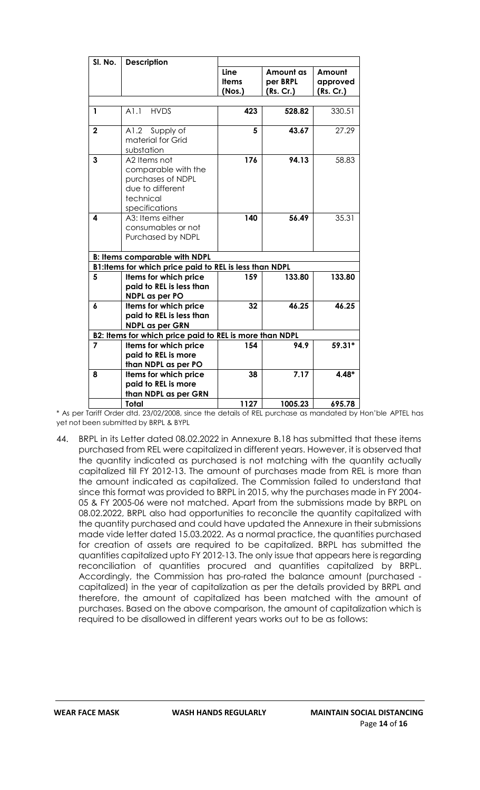| SI. No.        | <b>Description</b>                                                                                          |                                |                                    |                                 |
|----------------|-------------------------------------------------------------------------------------------------------------|--------------------------------|------------------------------------|---------------------------------|
|                |                                                                                                             | Line<br><b>Items</b><br>(Nos.) | Amount as<br>per BRPL<br>(Rs. Cr.) | Amount<br>approved<br>(Rs. Cr.) |
|                |                                                                                                             |                                |                                    |                                 |
| 1              | <b>HVDS</b><br>A1.1                                                                                         | 423                            | 528.82                             | 330.51                          |
| $\overline{2}$ | A1.2<br>Supply of<br>material for Grid<br>substation                                                        | 5                              | 43.67                              | 27.29                           |
| 3              | A2 Items not<br>comparable with the<br>purchases of NDPL<br>due to different<br>technical<br>specifications | 176                            | 94.13                              | 58.83                           |
| 4              | A3: Items either<br>consumables or not<br>Purchased by NDPL                                                 | 140                            | 56.49                              | 35.31                           |
|                | <b>B: Items comparable with NDPL</b>                                                                        |                                |                                    |                                 |
|                | B1: Items for which price paid to REL is less than NDPL                                                     |                                |                                    |                                 |
| 5              | Items for which price<br>paid to REL is less than<br><b>NDPL</b> as per PO                                  | 159                            | 133.80                             | 133.80                          |
| 6              | Items for which price<br>paid to REL is less than<br><b>NDPL as per GRN</b>                                 | 32                             | 46.25                              | 46.25                           |
|                | B2: Items for which price paid to REL is more than NDPL                                                     |                                |                                    |                                 |
| 7              | Items for which price<br>paid to REL is more<br>than NDPL as per PO                                         | 154                            | 94.9                               | 59.31*                          |
| 8              | Items for which price<br>paid to REL is more<br>than NDPL as per GRN                                        | 38                             | 7.17                               | $4.48*$                         |
|                | <b>Total</b>                                                                                                | 1127                           | 1005.23                            | 695.78                          |

\* As per Tariff Order dtd. 23/02/2008, since the details of REL purchase as mandated by Hon'ble APTEL has yet not been submitted by BRPL & BYPL

44. BRPL in its Letter dated 08.02.2022 in Annexure B.18 has submitted that these items purchased from REL were capitalized in different years. However, it is observed that the quantity indicated as purchased is not matching with the quantity actually capitalized till FY 2012-13. The amount of purchases made from REL is more than the amount indicated as capitalized. The Commission failed to understand that since this format was provided to BRPL in 2015, why the purchases made in FY 2004- 05 & FY 2005-06 were not matched. Apart from the submissions made by BRPL on 08.02.2022, BRPL also had opportunities to reconcile the quantity capitalized with the quantity purchased and could have updated the Annexure in their submissions made vide letter dated 15.03.2022. As a normal practice, the quantities purchased for creation of assets are required to be capitalized. BRPL has submitted the quantities capitalized upto FY 2012-13. The only issue that appears here is regarding reconciliation of quantities procured and quantities capitalized by BRPL. Accordingly, the Commission has pro-rated the balance amount (purchased capitalized) in the year of capitalization as per the details provided by BRPL and therefore, the amount of capitalized has been matched with the amount of purchases. Based on the above comparison, the amount of capitalization which is required to be disallowed in different years works out to be as follows: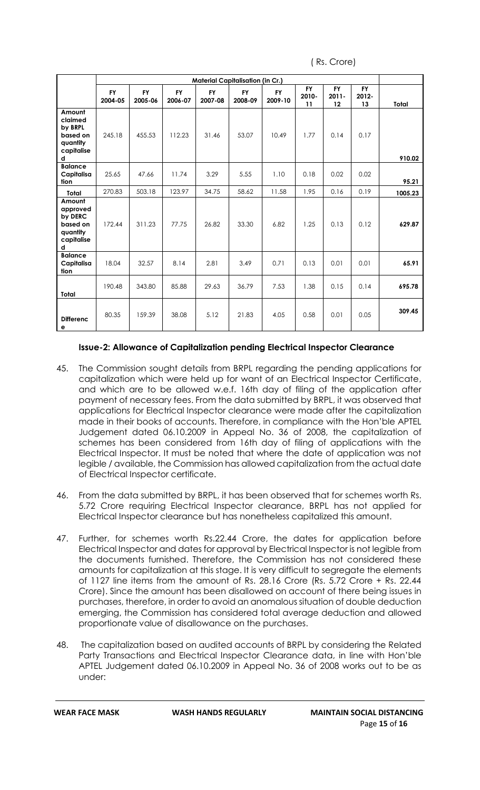( Rs. Crore)

|                                                                          |                      |                      |                      | <b>Material Capitalisation (in Cr.)</b> |                      |                      |                          |                             |                          |         |
|--------------------------------------------------------------------------|----------------------|----------------------|----------------------|-----------------------------------------|----------------------|----------------------|--------------------------|-----------------------------|--------------------------|---------|
|                                                                          | <b>FY</b><br>2004-05 | <b>FY</b><br>2005-06 | <b>FY</b><br>2006-07 | <b>FY</b><br>2007-08                    | <b>FY</b><br>2008-09 | <b>FY</b><br>2009-10 | <b>FY</b><br>2010-<br>11 | <b>FY</b><br>$2011 -$<br>12 | <b>FY</b><br>2012-<br>13 | Total   |
| Amount<br>claimed<br>by BRPL<br>based on<br>quantity<br>capitalise<br>d  | 245.18               | 455.53               | 112.23               | 31.46                                   | 53.07                | 10.49                | 1.77                     | 0.14                        | 0.17                     | 910.02  |
| <b>Balance</b><br>Capitalisa<br>tion                                     | 25.65                | 47.66                | 11.74                | 3.29                                    | 5.55                 | 1.10                 | 0.18                     | 0.02                        | 0.02                     | 95.21   |
| Total                                                                    | 270.83               | 503.18               | 123.97               | 34.75                                   | 58.62                | 11.58                | 1.95                     | 0.16                        | 0.19                     | 1005.23 |
| Amount<br>approved<br>by DERC<br>based on<br>quantity<br>capitalise<br>d | 172.44               | 311.23               | 77.75                | 26.82                                   | 33.30                | 6.82                 | 1.25                     | 0.13                        | 0.12                     | 629.87  |
| <b>Balance</b><br>Capitalisa<br>tion                                     | 18.04                | 32.57                | 8.14                 | 2.81                                    | 3.49                 | 0.71                 | 0.13                     | 0.01                        | 0.01                     | 65.91   |
| Total                                                                    | 190.48               | 343.80               | 85.88                | 29.63                                   | 36.79                | 7.53                 | 1.38                     | 0.15                        | 0.14                     | 695.78  |
| <b>Differenc</b><br>е                                                    | 80.35                | 159.39               | 38.08                | 5.12                                    | 21.83                | 4.05                 | 0.58                     | 0.01                        | 0.05                     | 309.45  |

#### **Issue-2: Allowance of Capitalization pending Electrical Inspector Clearance**

- 45. The Commission sought details from BRPL regarding the pending applications for capitalization which were held up for want of an Electrical Inspector Certificate, and which are to be allowed w.e.f. 16th day of filing of the application after payment of necessary fees. From the data submitted by BRPL, it was observed that applications for Electrical Inspector clearance were made after the capitalization made in their books of accounts. Therefore, in compliance with the Hon'ble APTEL Judgement dated 06.10.2009 in Appeal No. 36 of 2008, the capitalization of schemes has been considered from 16th day of filing of applications with the Electrical Inspector. It must be noted that where the date of application was not legible / available, the Commission has allowed capitalization from the actual date of Electrical Inspector certificate.
- 46. From the data submitted by BRPL, it has been observed that for schemes worth Rs. 5.72 Crore requiring Electrical Inspector clearance, BRPL has not applied for Electrical Inspector clearance but has nonetheless capitalized this amount.
- 47. Further, for schemes worth Rs.22.44 Crore, the dates for application before Electrical Inspector and dates for approval by Electrical Inspector is not legible from the documents furnished. Therefore, the Commission has not considered these amounts for capitalization at this stage. It is very difficult to segregate the elements of 1127 line items from the amount of Rs. 28.16 Crore (Rs. 5.72 Crore + Rs. 22.44 Crore). Since the amount has been disallowed on account of there being issues in purchases, therefore, in order to avoid an anomalous situation of double deduction emerging, the Commission has considered total average deduction and allowed proportionate value of disallowance on the purchases.
- 48. The capitalization based on audited accounts of BRPL by considering the Related Party Transactions and Electrical Inspector Clearance data, in line with Hon'ble APTEL Judgement dated 06.10.2009 in Appeal No. 36 of 2008 works out to be as under: